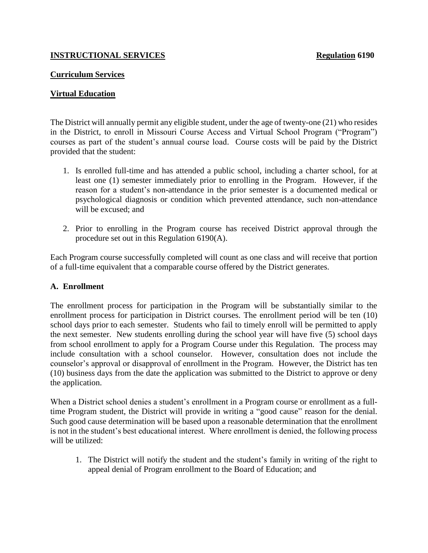### **INSTRUCTIONAL SERVICES Regulation 6190**

### **Curriculum Services**

## **Virtual Education**

The District will annually permit any eligible student, under the age of twenty-one (21) who resides in the District, to enroll in Missouri Course Access and Virtual School Program ("Program") courses as part of the student's annual course load. Course costs will be paid by the District provided that the student:

- 1. Is enrolled full-time and has attended a public school, including a charter school, for at least one (1) semester immediately prior to enrolling in the Program. However, if the reason for a student's non-attendance in the prior semester is a documented medical or psychological diagnosis or condition which prevented attendance, such non-attendance will be excused; and
- 2. Prior to enrolling in the Program course has received District approval through the procedure set out in this Regulation 6190(A).

Each Program course successfully completed will count as one class and will receive that portion of a full-time equivalent that a comparable course offered by the District generates.

#### **A. Enrollment**

The enrollment process for participation in the Program will be substantially similar to the enrollment process for participation in District courses. The enrollment period will be ten (10) school days prior to each semester. Students who fail to timely enroll will be permitted to apply the next semester. New students enrolling during the school year will have five (5) school days from school enrollment to apply for a Program Course under this Regulation. The process may include consultation with a school counselor. However, consultation does not include the counselor's approval or disapproval of enrollment in the Program. However, the District has ten (10) business days from the date the application was submitted to the District to approve or deny the application.

When a District school denies a student's enrollment in a Program course or enrollment as a fulltime Program student, the District will provide in writing a "good cause" reason for the denial. Such good cause determination will be based upon a reasonable determination that the enrollment is not in the student's best educational interest. Where enrollment is denied, the following process will be utilized:

1. The District will notify the student and the student's family in writing of the right to appeal denial of Program enrollment to the Board of Education; and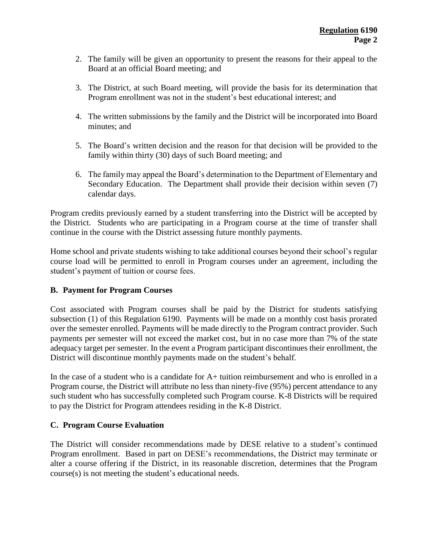- 2. The family will be given an opportunity to present the reasons for their appeal to the Board at an official Board meeting; and
- 3. The District, at such Board meeting, will provide the basis for its determination that Program enrollment was not in the student's best educational interest; and
- 4. The written submissions by the family and the District will be incorporated into Board minutes; and
- 5. The Board's written decision and the reason for that decision will be provided to the family within thirty (30) days of such Board meeting; and
- 6. The family may appeal the Board's determination to the Department of Elementary and Secondary Education. The Department shall provide their decision within seven (7) calendar days.

Program credits previously earned by a student transferring into the District will be accepted by the District. Students who are participating in a Program course at the time of transfer shall continue in the course with the District assessing future monthly payments.

Home school and private students wishing to take additional courses beyond their school's regular course load will be permitted to enroll in Program courses under an agreement, including the student's payment of tuition or course fees.

# **B. Payment for Program Courses**

Cost associated with Program courses shall be paid by the District for students satisfying subsection (1) of this Regulation 6190. Payments will be made on a monthly cost basis prorated over the semester enrolled. Payments will be made directly to the Program contract provider. Such payments per semester will not exceed the market cost, but in no case more than 7% of the state adequacy target per semester. In the event a Program participant discontinues their enrollment, the District will discontinue monthly payments made on the student's behalf.

In the case of a student who is a candidate for A+ tuition reimbursement and who is enrolled in a Program course, the District will attribute no less than ninety-five (95%) percent attendance to any such student who has successfully completed such Program course. K-8 Districts will be required to pay the District for Program attendees residing in the K-8 District.

# **C. Program Course Evaluation**

The District will consider recommendations made by DESE relative to a student's continued Program enrollment. Based in part on DESE's recommendations, the District may terminate or alter a course offering if the District, in its reasonable discretion, determines that the Program course(s) is not meeting the student's educational needs.